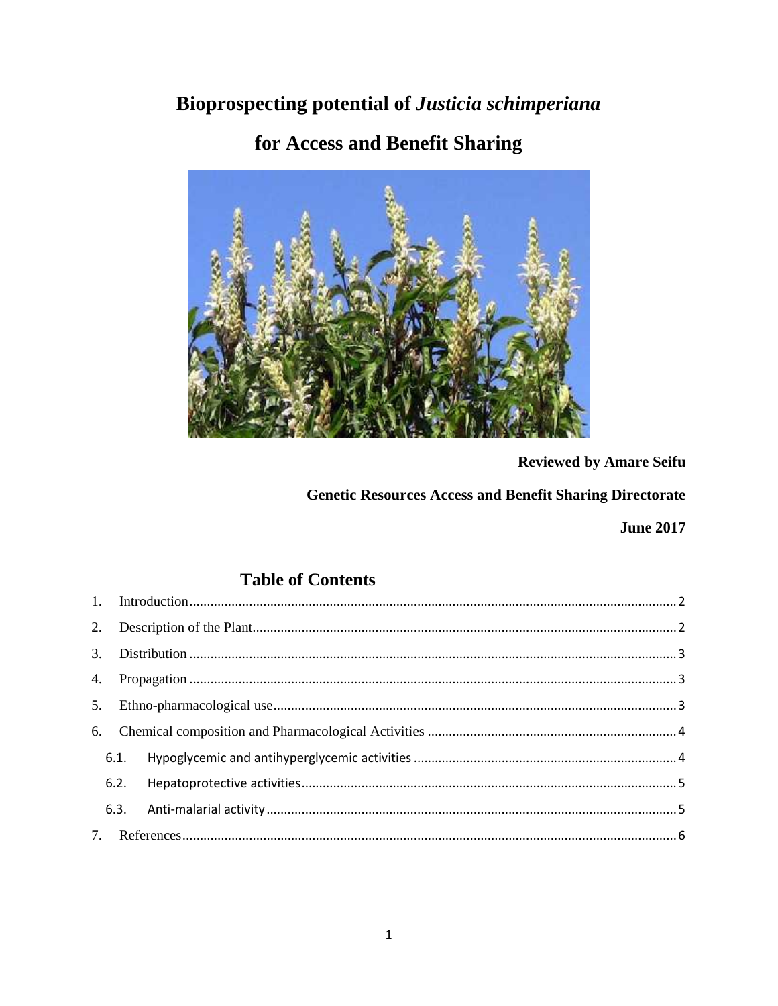## Bioprospecting potential of Justicia schimperiana

# for Access and Benefit Sharing



### **Reviewed by Amare Seifu**

## **Genetic Resources Access and Benefit Sharing Directorate**

**June 2017** 

## **Table of Contents**

| 6.1. |  |
|------|--|
| 6.2. |  |
|      |  |
|      |  |
|      |  |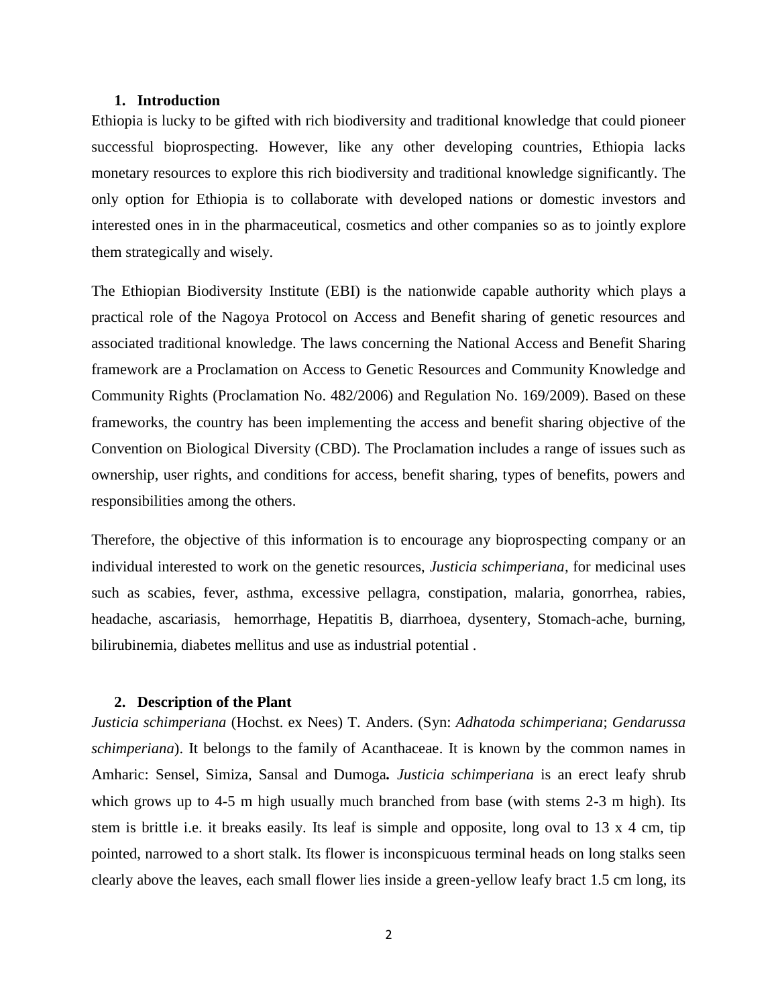#### **1. Introduction**

Ethiopia is lucky to be gifted with rich biodiversity and traditional knowledge that could pioneer successful bioprospecting. However, like any other developing countries, Ethiopia lacks monetary resources to explore this rich biodiversity and traditional knowledge significantly. The only option for Ethiopia is to collaborate with developed nations or domestic investors and interested ones in in the pharmaceutical, cosmetics and other companies so as to jointly explore them strategically and wisely.

The Ethiopian Biodiversity Institute (EBI) is the nationwide capable authority which plays a practical role of the Nagoya Protocol on Access and Benefit sharing of genetic resources and associated traditional knowledge. The laws concerning the National Access and Benefit Sharing framework are a Proclamation on Access to Genetic Resources and Community Knowledge and Community Rights (Proclamation No. 482/2006) and Regulation No.169/2009). Based on these frameworks, the country has been implementing the access and benefit sharing objective of the Convention on Biological Diversity (CBD). The Proclamation includes a range of issues such as ownership, user rights, and conditions for access, benefit sharing, types of benefits, powers and responsibilities among the others.

Therefore, the objective of this information is to encourage any bioprospecting company or an individual interested to work on the genetic resources, *Justicia schimperiana,* for medicinal uses such as scabies, fever, asthma, excessive pellagra, constipation, malaria, gonorrhea, rabies, headache, ascariasis, hemorrhage, Hepatitis B, diarrhoea, dysentery, Stomach-ache, burning, bilirubinemia, diabetes mellitus and use as industrial potential .

#### **2. Description of the Plant**

*Justicia schimperiana* (Hochst. ex Nees) T. Anders. (Syn: *Adhatoda schimperiana*; *Gendarussa schimperiana*). It belongs to the family of Acanthaceae. It is known by the common names in Amharic: Sensel, Simiza, Sansal and Dumoga*. Justicia schimperiana* is an erect leafy shrub which grows up to 4-5 m high usually much branched from base (with stems 2-3 m high). Its stem is brittle i.e. it breaks easily. Its leaf is simple and opposite, long oval to 13 x 4 cm, tip pointed, narrowed to a short stalk. Its flower is inconspicuous terminal heads on long stalks seen clearly above the leaves, each small flower lies inside a green-yellow leafy bract 1.5 cm long, its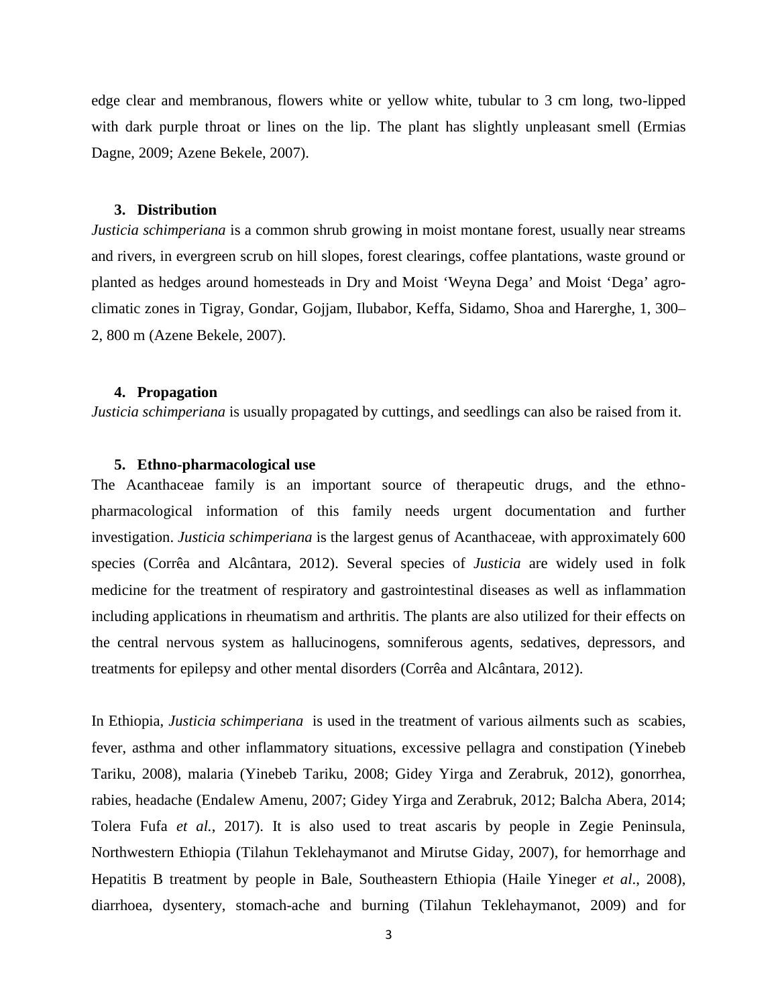edge clear and membranous, flowers white or yellow white, tubular to 3 cm long, two-lipped with dark purple throat or lines on the lip. The plant has slightly unpleasant smell (Ermias Dagne, 2009; Azene Bekele, 2007).

#### **3. Distribution**

*Justicia schimperiana* is a common shrub growing in moist montane forest, usually near streams and rivers, in evergreen scrub on hill slopes, forest clearings, coffee plantations, waste ground or planted as hedges around homesteads in Dry and Moist 'Weyna Dega' and Moist 'Dega' agro climatic zones in Tigray, Gondar, Gojjam, Ilubabor, Keffa, Sidamo, Shoa and Harerghe, 1, 300– 2, 800 m (Azene Bekele, 2007).

#### **4. Propagation**

*Justicia schimperiana* is usually propagated by cuttings, and seedlings can also be raised from it.

#### **5. Ethno-pharmacological use**

The Acanthaceae family is an important source of therapeutic drugs, and the ethno pharmacological information of this family needs urgent documentation and further investigation. *Justicia schimperiana* is the largest genus of Acanthaceae, with approximately 600 species (Corrêa and Alcântara, 2012). Several species of *Justicia* are widely used in folk medicine for the treatment of respiratory and gastrointestinal diseases as well as inflammation including applications in rheumatism and arthritis. The plants are also utilized for their effects on the central nervous system as hallucinogens, somniferous agents, sedatives, depressors, and treatments for epilepsy and other mental disorders (Corrêa and Alcântara, 2012).

In Ethiopia, *Justicia schimperiana* is used in the treatment of various ailments such as scabies, fever, asthma and other inflammatory situations, excessive pellagra and constipation (Yinebeb Tariku, 2008), malaria (Yinebeb Tariku, 2008; Gidey Yirga and Zerabruk, 2012), gonorrhea, rabies, headache (Endalew Amenu, 2007; Gidey Yirga and Zerabruk, 2012; Balcha Abera, 2014; Tolera Fufa *et al.*, 2017). It is also used to treat ascaris by people in Zegie Peninsula, Northwestern Ethiopia (Tilahun Teklehaymanot and Mirutse Giday, 2007), for hemorrhage and Hepatitis B treatment by people in Bale, Southeastern Ethiopia (Haile Yineger *et al*., 2008), diarrhoea, dysentery, stomach-ache and burning (Tilahun Teklehaymanot, 2009) and for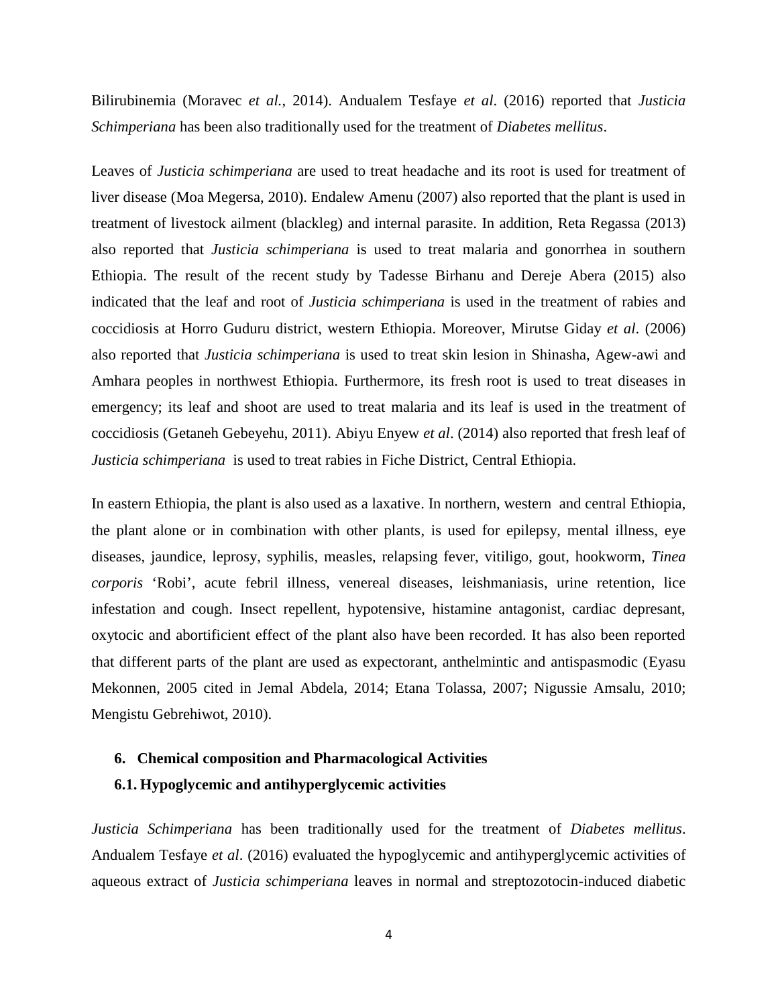Bilirubinemia (Moravec *et al.*, 2014). Andualem Tesfaye *et al*. (2016) reported that *Justicia Schimperiana* has been also traditionally used for the treatment of *Diabetes mellitus*.

Leaves of *Justicia schimperiana* are used to treat headache and its root is used for treatment of liver disease (Moa Megersa, 2010). Endalew Amenu (2007) also reported that the plant is used in treatment of livestock ailment (blackleg) and internal parasite. In addition, Reta Regassa (2013) also reported that *Justicia schimperiana* is used to treat malaria and gonorrhea in southern Ethiopia. The result of the recent study by Tadesse Birhanu and Dereje Abera (2015) also indicated that the leaf and root of *Justicia schimperiana* is used in the treatment of rabies and coccidiosis at Horro Guduru district, western Ethiopia. Moreover, Mirutse Giday *et al*. (2006) also reported that *Justicia schimperiana* is used to treat skin lesion in Shinasha, Agew-awi and Amhara peoples in northwest Ethiopia. Furthermore, its fresh root is used to treat diseases in emergency; its leaf and shoot are used to treat malaria and its leaf is used in the treatment of coccidiosis (Getaneh Gebeyehu, 2011). Abiyu Enyew *et al*. (2014) also reported that fresh leaf of *Justicia schimperiana* is used to treat rabies in Fiche District, Central Ethiopia.

In eastern Ethiopia, the plant is also used as a laxative. In northern, western and central Ethiopia, the plant alone or in combination with other plants, is used for epilepsy, mental illness, eye diseases, jaundice, leprosy, syphilis, measles, relapsing fever, vitiligo, gout, hookworm, *Tinea corporis* 'Robi', acute febril illness, venereal diseases, leishmaniasis, urine retention, lice infestation and cough. Insect repellent, hypotensive, histamine antagonist, cardiac depresant, oxytocic and abortificient effect of the plant also have been recorded. It has also been reported that different parts of the plant are used as expectorant, anthelmintic and antispasmodic (Eyasu Mekonnen, 2005 cited in Jemal Abdela, 2014; Etana Tolassa, 2007; Nigussie Amsalu, 2010; Mengistu Gebrehiwot, 2010).

#### **6. Chemical composition and Pharmacological Activities**

#### **6.1. Hypoglycemic and antihyperglycemic activities**

*Justicia Schimperiana* has been traditionally used for the treatment of *Diabetes mellitus*. Andualem Tesfaye *et al*. (2016) evaluated the hypoglycemic and antihyperglycemic activities of aqueous extract of *Justicia schimperiana* leaves in normal and streptozotocin-induced diabetic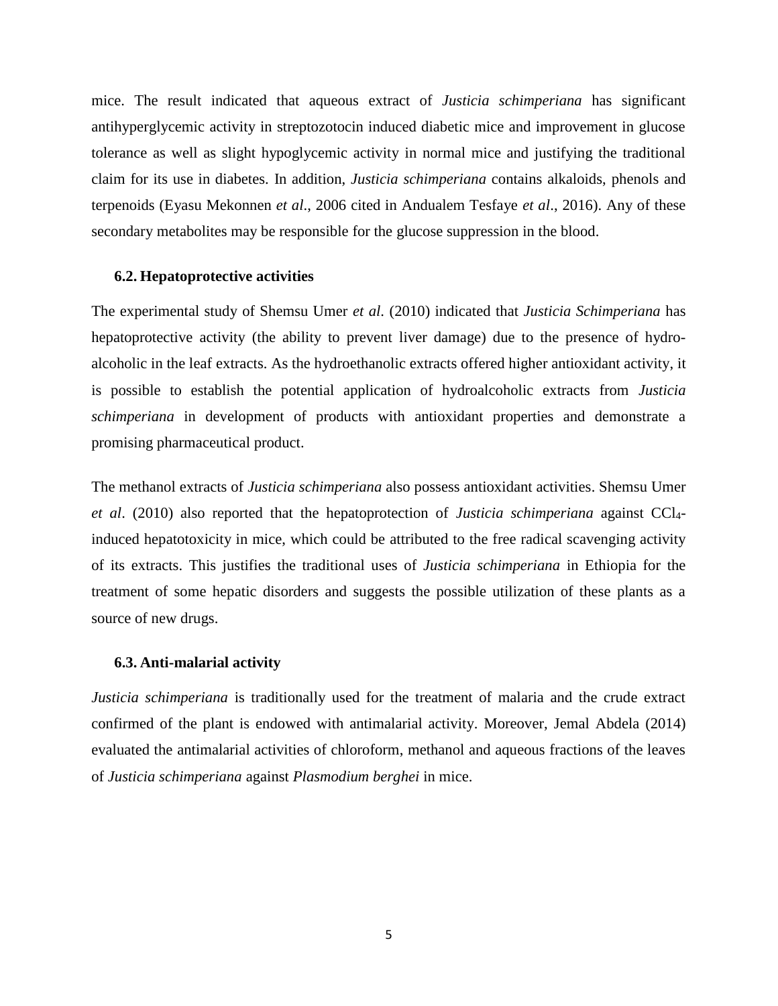mice. The result indicated that aqueous extract of *Justicia schimperiana* has significant antihyperglycemic activity in streptozotocin induced diabetic mice and improvement in glucose tolerance as well as slight hypoglycemic activity in normal mice and justifying the traditional claim for its use in diabetes. In addition, *Justicia schimperiana* contains alkaloids, phenols and terpenoids (Eyasu Mekonnen *et al*., 2006 cited in Andualem Tesfaye *et al*., 2016). Any of these secondary metabolites may be responsible for the glucose suppression in the blood.

#### **6.2. Hepatoprotective activities**

The experimental study of Shemsu Umer *et al*. (2010) indicated that *Justicia Schimperiana* has hepatoprotective activity (the ability to prevent liver damage) due to the presence of hydro alcoholic in the leaf extracts. As the hydroethanolic extracts offered higher antioxidant activity, it is possible to establish the potential application of hydroalcoholic extracts from *Justicia schimperiana* in development of products with antioxidant properties and demonstrate a promising pharmaceutical product.

The methanol extracts of *Justicia schimperiana* also possess antioxidant activities. Shemsu Umer *et al*. (2010) also reported that the hepatoprotection of *Justicia schimperiana* against CCl4 induced hepatotoxicity in mice, which could be attributed to the free radical scavenging activity of its extracts. This justifies the traditional uses of *Justicia schimperiana* in Ethiopia for the treatment of some hepatic disorders and suggests the possible utilization of these plants as a source of new drugs.

#### **6.3. Anti-malarial activity**

*Justicia schimperiana* is traditionally used for the treatment of malaria and the crude extract confirmed of the plant is endowed with antimalarial activity. Moreover, Jemal Abdela (2014) evaluated the antimalarial activities of chloroform, methanol and aqueous fractions of the leaves of *Justicia schimperiana* against *Plasmodium berghei* in mice.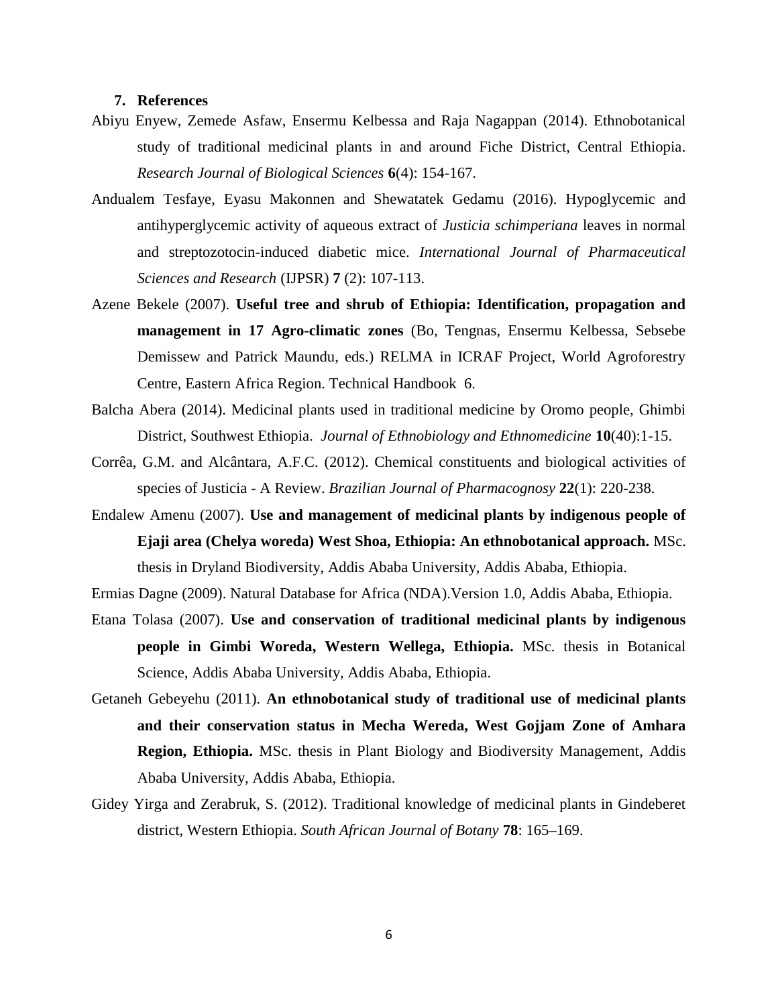#### **7. References**

- Abiyu Enyew, Zemede Asfaw, Ensermu Kelbessa and Raja Nagappan (2014). Ethnobotanical study of traditional medicinal plants in and around Fiche District, Central Ethiopia. *Research Journal of Biological Sciences* **6**(4): 154-167.
- Andualem Tesfaye, Eyasu Makonnen and Shewatatek Gedamu (2016). Hypoglycemic and antihyperglycemic activity of aqueous extract of *Justicia schimperiana* leaves in normal and streptozotocin-induced diabetic mice. *International Journal of Pharmaceutical Sciences and Research* (IJPSR) **7** (2): 107-113.
- Azene Bekele (2007). **Useful tree and shrub of Ethiopia: Identification, propagation and management in 17 Agro-climatic zones** (Bo, Tengnas, Ensermu Kelbessa, Sebsebe Demissew and Patrick Maundu, eds.) RELMA in ICRAF Project, World Agroforestry Centre, Eastern Africa Region. Technical Handbook 6.
- Balcha Abera (2014). Medicinal plants used in traditional medicine by Oromo people, Ghimbi District, Southwest Ethiopia. *Journal of Ethnobiology and Ethnomedicine* **10**(40):1-15.
- Corrêa, G.M. and Alcântara, A.F.C. (2012). Chemical constituents and biological activities of species of Justicia - A Review. *Brazilian Journal of Pharmacognosy* **22**(1): 220-238.
- Endalew Amenu (2007). **Use and management of medicinal plants by indigenous people of Ejaji area (Chelya woreda) West Shoa, Ethiopia: An ethnobotanical approach.** MSc. thesis in Dryland Biodiversity, Addis Ababa University, Addis Ababa, Ethiopia.

Ermias Dagne (2009). Natural Database for Africa (NDA).Version 1.0, Addis Ababa, Ethiopia.

- Etana Tolasa (2007). **Use and conservation of traditional medicinal plants by indigenous people in Gimbi Woreda, Western Wellega, Ethiopia.** MSc. thesis in Botanical Science, Addis Ababa University, Addis Ababa, Ethiopia.
- Getaneh Gebeyehu (2011). **An ethnobotanical study of traditional use of medicinal plants and their conservation status in Mecha Wereda, West Gojjam Zone of Amhara Region, Ethiopia.** MSc. thesis in Plant Biology and Biodiversity Management, Addis Ababa University, Addis Ababa, Ethiopia.
- Gidey Yirga and Zerabruk, S. (2012). Traditional knowledge of medicinal plants in Gindeberet district, Western Ethiopia. *South African Journal of Botany* **78**: 165–169.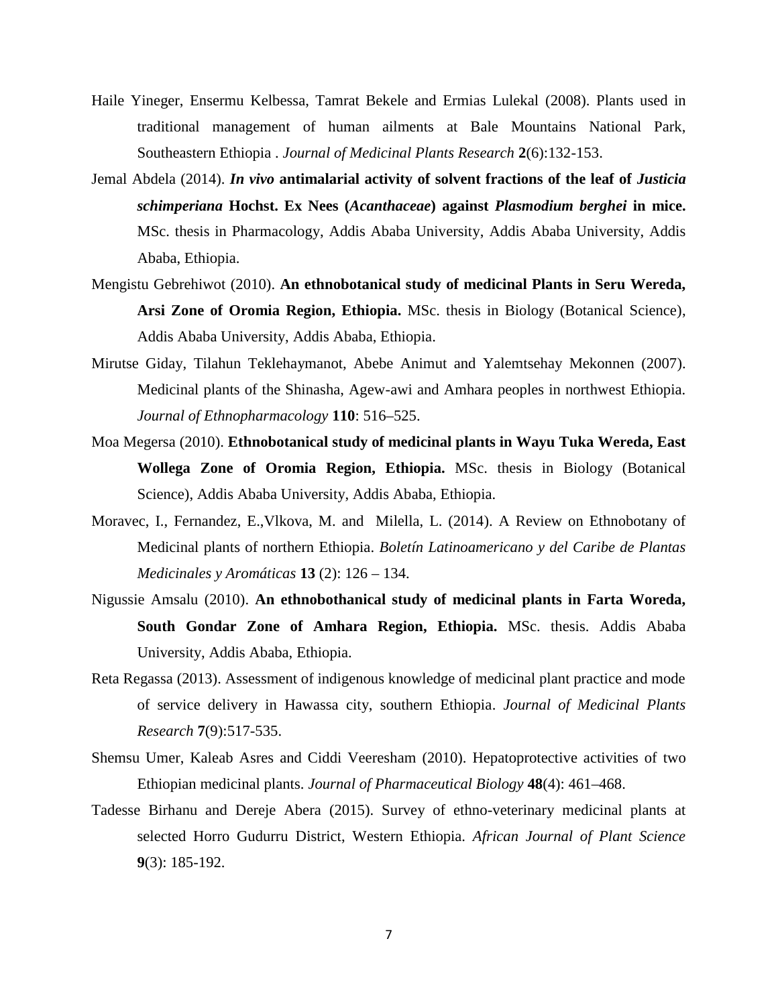- Haile Yineger, Ensermu Kelbessa, Tamrat Bekele and Ermias Lulekal (2008). Plants used in traditional management of human ailments at Bale Mountains National Park, Southeastern Ethiopia . *Journal of Medicinal Plants Research* **2**(6):132-153.
- Jemal Abdela (2014). *In vivo* **antimalarial activity of solvent fractions of the leaf of** *Justicia schimperiana* **Hochst. Ex Nees (***Acanthaceae***) against** *Plasmodium berghei* **in mice.** MSc. thesis in Pharmacology, Addis Ababa University, Addis Ababa University, Addis Ababa, Ethiopia.
- Mengistu Gebrehiwot (2010). **An ethnobotanical study of medicinal Plants in Seru Wereda, Arsi Zone of Oromia Region, Ethiopia.** MSc. thesis in Biology (Botanical Science), Addis Ababa University, Addis Ababa, Ethiopia.
- Mirutse Giday, Tilahun Teklehaymanot, Abebe Animut and Yalemtsehay Mekonnen (2007). Medicinal plants of the Shinasha, Agew-awi and Amhara peoples in northwest Ethiopia. *Journal of Ethnopharmacology* **110**: 516–525.
- Moa Megersa (2010). **Ethnobotanical study of medicinal plants in Wayu Tuka Wereda, East Wollega Zone of Oromia Region, Ethiopia.** MSc. thesis in Biology (Botanical Science), Addis Ababa University, Addis Ababa, Ethiopia.
- Moravec, I., Fernandez, E.,Vlkova, M. and Milella, L. (2014). A Review on Ethnobotany of Medicinal plants of northern Ethiopia. *Boletín Latinoamericano y del Caribe de Plantas Medicinales y Aromáticas* **13** (2): 126 – 134.
- Nigussie Amsalu (2010). **An ethnobothanical study of medicinal plants in Farta Woreda, South Gondar Zone of Amhara Region, Ethiopia.** MSc. thesis. Addis Ababa University, Addis Ababa, Ethiopia.
- Reta Regassa (2013). Assessment of indigenous knowledge of medicinal plant practice and mode of service delivery in Hawassa city, southern Ethiopia. *Journal of Medicinal Plants Research* **7**(9):517-535.
- Shemsu Umer, Kaleab Asres and Ciddi Veeresham (2010). Hepatoprotective activities of two Ethiopian medicinal plants. *Journal of Pharmaceutical Biology* **48**(4): 461–468.
- Tadesse Birhanu and Dereje Abera (2015). Survey of ethno-veterinary medicinal plants at selected Horro Gudurru District, Western Ethiopia. *African Journal of Plant Science* **9**(3): 185-192.